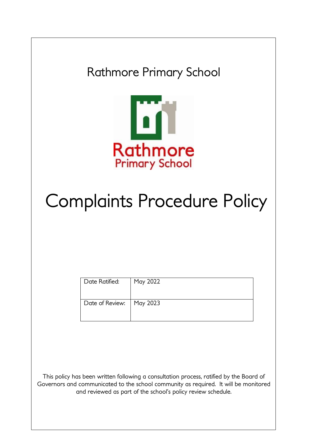Rathmore Primary School



# Complaints Procedure Policy

| Date Ratified:             | May 2022 |
|----------------------------|----------|
| Date of Review:   May 2023 |          |

This policy has been written following a consultation process, ratified by the Board of Governors and communicated to the school community as required. It will be monitored and reviewed as part of the school's policy review schedule.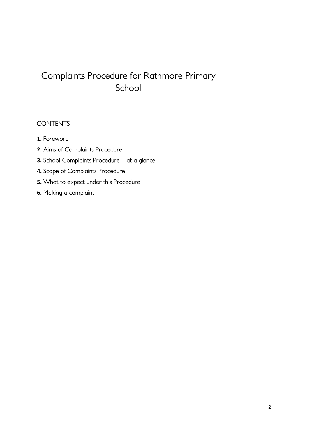# Complaints Procedure for Rathmore Primary School

## **CONTENTS**

- **1.** Foreword
- **2.** Aims of Complaints Procedure
- **3.** School Complaints Procedure at a glance
- **4.** Scope of Complaints Procedure
- **5.** What to expect under this Procedure
- **6.** Making a complaint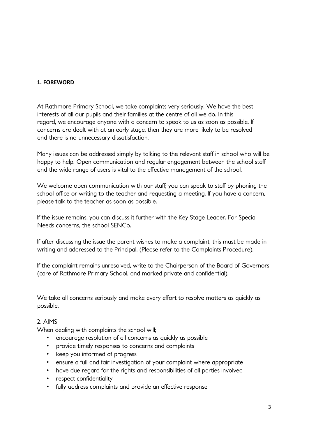#### **1. FOREWORD**

At Rathmore Primary School, we take complaints very seriously. We have the best interests of all our pupils and their families at the centre of all we do. In this regard, we encourage anyone with a concern to speak to us as soon as possible. If concerns are dealt with at an early stage, then they are more likely to be resolved and there is no unnecessary dissatisfaction.

Many issues can be addressed simply by talking to the relevant staff in school who will be happy to help. Open communication and regular engagement between the school staff and the wide range of users is vital to the effective management of the school.

We welcome open communication with our staff; you can speak to staff by phoning the school office or writing to the teacher and requesting a meeting. If you have a concern, please talk to the teacher as soon as possible.

If the issue remains, you can discuss it further with the Key Stage Leader. For Special Needs concerns, the school SENCo.

If after discussing the issue the parent wishes to make a complaint, this must be made in writing and addressed to the Principal. (Please refer to the Complaints Procedure).

If the complaint remains unresolved, write to the Chairperson of the Board of Governors (care of Rathmore Primary School, and marked private and confidential).

We take all concerns seriously and make every effort to resolve matters as quickly as possible.

#### 2. AIMS

When dealing with complaints the school will;

- encourage resolution of all concerns as quickly as possible
- provide timely responses to concerns and complaints
- keep you informed of progress
- ensure a full and fair investigation of your complaint where appropriate
- have due regard for the rights and responsibilities of all parties involved
- respect confidentiality
- fully address complaints and provide an effective response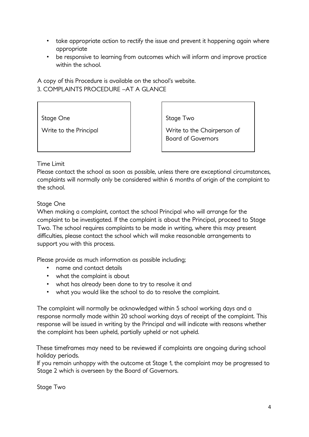- take appropriate action to rectify the issue and prevent it happening again where appropriate
- be responsive to learning from outcomes which will inform and improve practice within the school.

A copy of this Procedure is available on the school's website. 3. COMPLAINTS PROCEDURE –AT A GLANCE

Stage One

Write to the Principal

Stage Two

Write to the Chairperson of Board of Governors

#### Time Limit

Please contact the school as soon as possible, unless there are exceptional circumstances, complaints will normally only be considered within 6 months of origin of the complaint to the school.

#### Stage One

When making a complaint, contact the school Principal who will arrange for the complaint to be investigated. If the complaint is about the Principal, proceed to Stage Two. The school requires complaints to be made in writing, where this may present difficulties, please contact the school which will make reasonable arrangements to support you with this process.

Please provide as much information as possible including;

- name and contact details
- what the complaint is about
- what has already been done to try to resolve it and
- what you would like the school to do to resolve the complaint.

The complaint will normally be acknowledged within 5 school working days and a response normally made within 20 school working days of receipt of the complaint. This response will be issued in writing by the Principal and will indicate with reasons whether the complaint has been upheld, partially upheld or not upheld.

These timeframes may need to be reviewed if complaints are ongoing during school holiday periods.

If you remain unhappy with the outcome at Stage 1, the complaint may be progressed to Stage 2 which is overseen by the Board of Governors.

Stage Two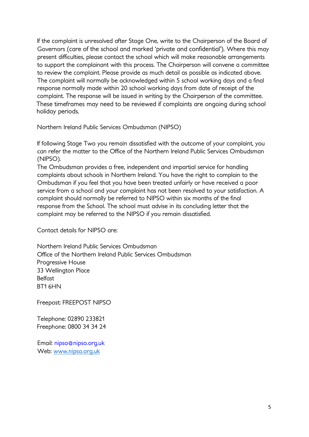If the complaint is unresolved after Stage One, write to the Chairperson of the Board of Governors (care of the school and marked 'private and confidential'). Where this may present difficulties, please contact the school which will make reasonable arrangements to support the complainant with this process. The Chairperson will convene a committee to review the complaint. Please provide as much detail as possible as indicated above. The complaint will normally be acknowledged within 5 school working days and a final response normally made within 20 school working days from date of receipt of the complaint. The response will be issued in writing by the Chairperson of the committee. These timeframes may need to be reviewed if complaints are ongoing during school holiday periods.

Northern Ireland Public Services Ombudsman (NIPSO)

If following Stage Two you remain dissatisfied with the outcome of your complaint, you can refer the matter to the Office of the Northern Ireland Public Services Ombudsman (NIPSO).

The Ombudsman provides a free, independent and impartial service for handling complaints about schools in Northern Ireland. You have the right to complain to the Ombudsman if you feel that you have been treated unfairly or have received a poor service from a school and your complaint has not been resolved to your satisfaction. A complaint should normally be referred to NIPSO within six months of the final response from the School. The school must advise in its concluding letter that the complaint may be referred to the NIPSO if you remain dissatisfied.

Contact details for NIPSO are:

Northern Ireland Public Services Ombudsman Office of the Northern Ireland Public Services Ombudsman Progressive House 33 Wellington Place **Belfast** BT1 6HN

Freepost: FREEPOST NIPSO

Telephone: 02890 233821 Freephone: 0800 34 34 24

Email: nipso@nipso.org.uk Web: [www.nipso.org.uk](http://www.nipso.org.uk/)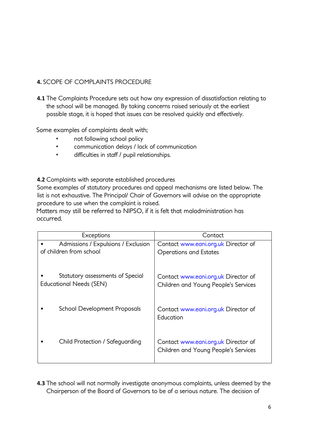### **4.** SCOPE OF COMPLAINTS PROCEDURE

**4.1** The Complaints Procedure sets out how any expression of dissatisfaction relating to the school will be managed. By taking concerns raised seriously at the earliest possible stage, it is hoped that issues can be resolved quickly and effectively.

Some examples of complaints dealt with;

- not following school policy
- communication delays / lack of communication
- difficulties in staff / pupil relationships.

**4.2** Complaints with separate established procedures

Some examples of statutory procedures and appeal mechanisms are listed below. The list is not exhaustive. The Principal/ Chair of Governors will advise on the appropriate procedure to use when the complaint is raised.

Matters may still be referred to NIPSO, if it is felt that maladministration has occurred.

| Exceptions                                                  | Contact                                                                     |
|-------------------------------------------------------------|-----------------------------------------------------------------------------|
| Admissions / Expulsions / Exclusion                         | Contact www.eani.org.uk Director of                                         |
| of children from school                                     | <b>Operations and Estates</b>                                               |
| Statutory assessments of Special<br>Educational Needs (SEN) | Contact www.eani.org.uk Director of<br>Children and Young People's Services |
| <b>School Development Proposals</b>                         | Contact www.eani.org.uk Director of<br>Education                            |
| Child Protection / Safeguarding                             | Contact www.eani.org.uk Director of<br>Children and Young People's Services |

**4.3** The school will not normally investigate anonymous complaints, unless deemed by the Chairperson of the Board of Governors to be of a serious nature. The decision of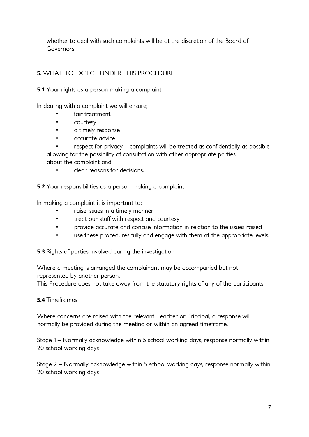whether to deal with such complaints will be at the discretion of the Board of Governors.

# **5.** WHAT TO EXPECT UNDER THIS PROCEDURE

**5.1** Your rights as a person making a complaint

In dealing with a complaint we will ensure;

- fair treatment
- courtesy
- a timely response
- accurate advice

• respect for privacy – complaints will be treated as confidentially as possible allowing for the possibility of consultation with other appropriate parties about the complaint and

• clear reasons for decisions.

**5.2** Your responsibilities as a person making a complaint

In making a complaint it is important to;

- raise issues in a timely manner
- treat our staff with respect and courtesy
- provide accurate and concise information in relation to the issues raised
- use these procedures fully and engage with them at the appropriate levels.

**5.3** Rights of parties involved during the investigation

Where a meeting is arranged the complainant may be accompanied but not represented by another person.

This Procedure does not take away from the statutory rights of any of the participants.

#### **5.4** Timeframes

Where concerns are raised with the relevant Teacher or Principal, a response will normally be provided during the meeting or within an agreed timeframe.

Stage 1 – Normally acknowledge within 5 school working days, response normally within 20 school working days

Stage 2 – Normally acknowledge within 5 school working days, response normally within 20 school working days